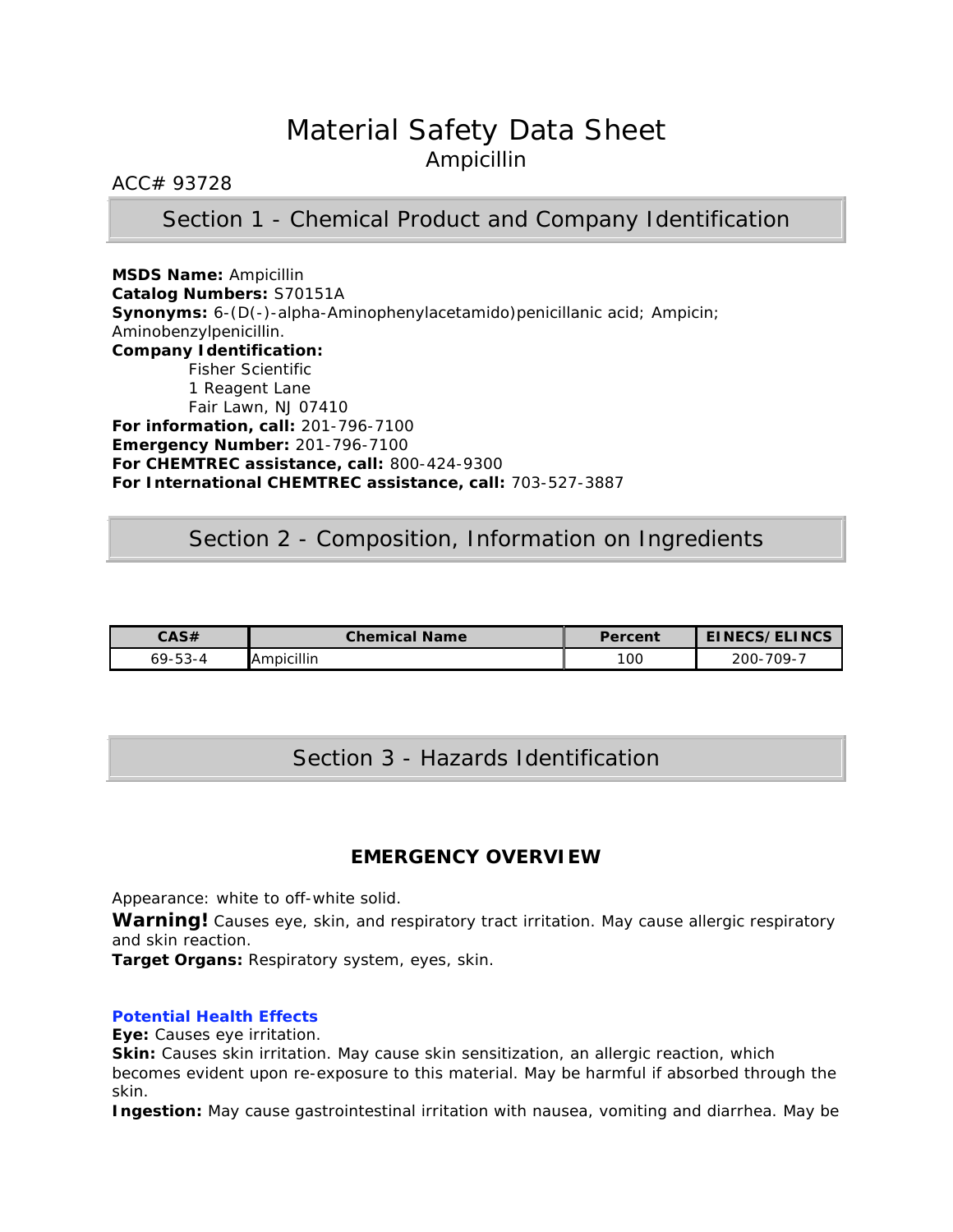# Material Safety Data Sheet Ampicillin

### ACC# 93728

### Section 1 - Chemical Product and Company Identification

**MSDS Name:** Ampicillin **Catalog Numbers:** S70151A **Synonyms:** 6-(D(-)-alpha-Aminophenylacetamido)penicillanic acid; Ampicin; Aminobenzylpenicillin. **Company Identification:** Fisher Scientific 1 Reagent Lane Fair Lawn, NJ 07410 **For information, call:** 201-796-7100 **Emergency Number:** 201-796-7100 **For CHEMTREC assistance, call:** 800-424-9300 **For International CHEMTREC assistance, call:** 703-527-3887

### Section 2 - Composition, Information on Ingredients

| CAS#          | <b>Chemical Name</b> | Percent | EINECS/ELINCS  |
|---------------|----------------------|---------|----------------|
| $69 - 53 - 4$ | <b>Ampicillin</b>    | 10C     | 709-7<br>200-1 |

# Section 3 - Hazards Identification

### **EMERGENCY OVERVIEW**

Appearance: white to off-white solid.

Warning! Causes eye, skin, and respiratory tract irritation. May cause allergic respiratory and skin reaction.

**Target Organs:** Respiratory system, eyes, skin.

### **Potential Health Effects**

**Eye:** Causes eye irritation.

**Skin:** Causes skin irritation. May cause skin sensitization, an allergic reaction, which becomes evident upon re-exposure to this material. May be harmful if absorbed through the skin.

**Ingestion:** May cause gastrointestinal irritation with nausea, vomiting and diarrhea. May be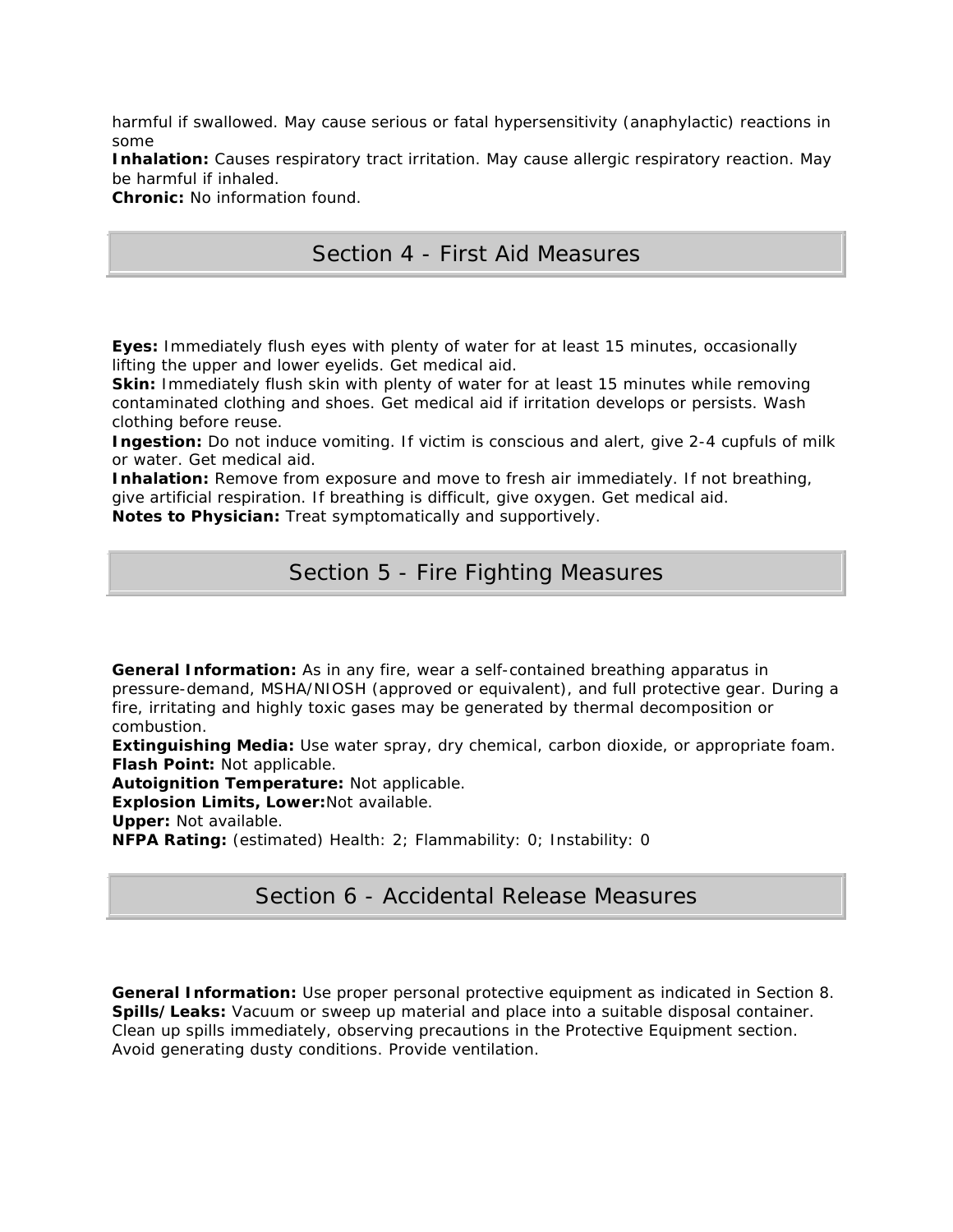harmful if swallowed. May cause serious or fatal hypersensitivity (anaphylactic) reactions in some

**Inhalation:** Causes respiratory tract irritation. May cause allergic respiratory reaction. May be harmful if inhaled.

**Chronic:** No information found.

# Section 4 - First Aid Measures

**Eyes:** Immediately flush eyes with plenty of water for at least 15 minutes, occasionally lifting the upper and lower eyelids. Get medical aid.

**Skin:** Immediately flush skin with plenty of water for at least 15 minutes while removing contaminated clothing and shoes. Get medical aid if irritation develops or persists. Wash clothing before reuse.

**Ingestion:** Do not induce vomiting. If victim is conscious and alert, give 2-4 cupfuls of milk or water. Get medical aid.

**Inhalation:** Remove from exposure and move to fresh air immediately. If not breathing, give artificial respiration. If breathing is difficult, give oxygen. Get medical aid.

**Notes to Physician:** Treat symptomatically and supportively.

# Section 5 - Fire Fighting Measures

**General Information:** As in any fire, wear a self-contained breathing apparatus in pressure-demand, MSHA/NIOSH (approved or equivalent), and full protective gear. During a fire, irritating and highly toxic gases may be generated by thermal decomposition or combustion.

**Extinguishing Media:** Use water spray, dry chemical, carbon dioxide, or appropriate foam. **Flash Point:** Not applicable.

**Autoignition Temperature:** Not applicable.

**Explosion Limits, Lower:**Not available.

**Upper:** Not available.

**NFPA Rating:** (estimated) Health: 2; Flammability: 0; Instability: 0

# Section 6 - Accidental Release Measures

**General Information:** Use proper personal protective equipment as indicated in Section 8. **Spills/Leaks:** Vacuum or sweep up material and place into a suitable disposal container. Clean up spills immediately, observing precautions in the Protective Equipment section. Avoid generating dusty conditions. Provide ventilation.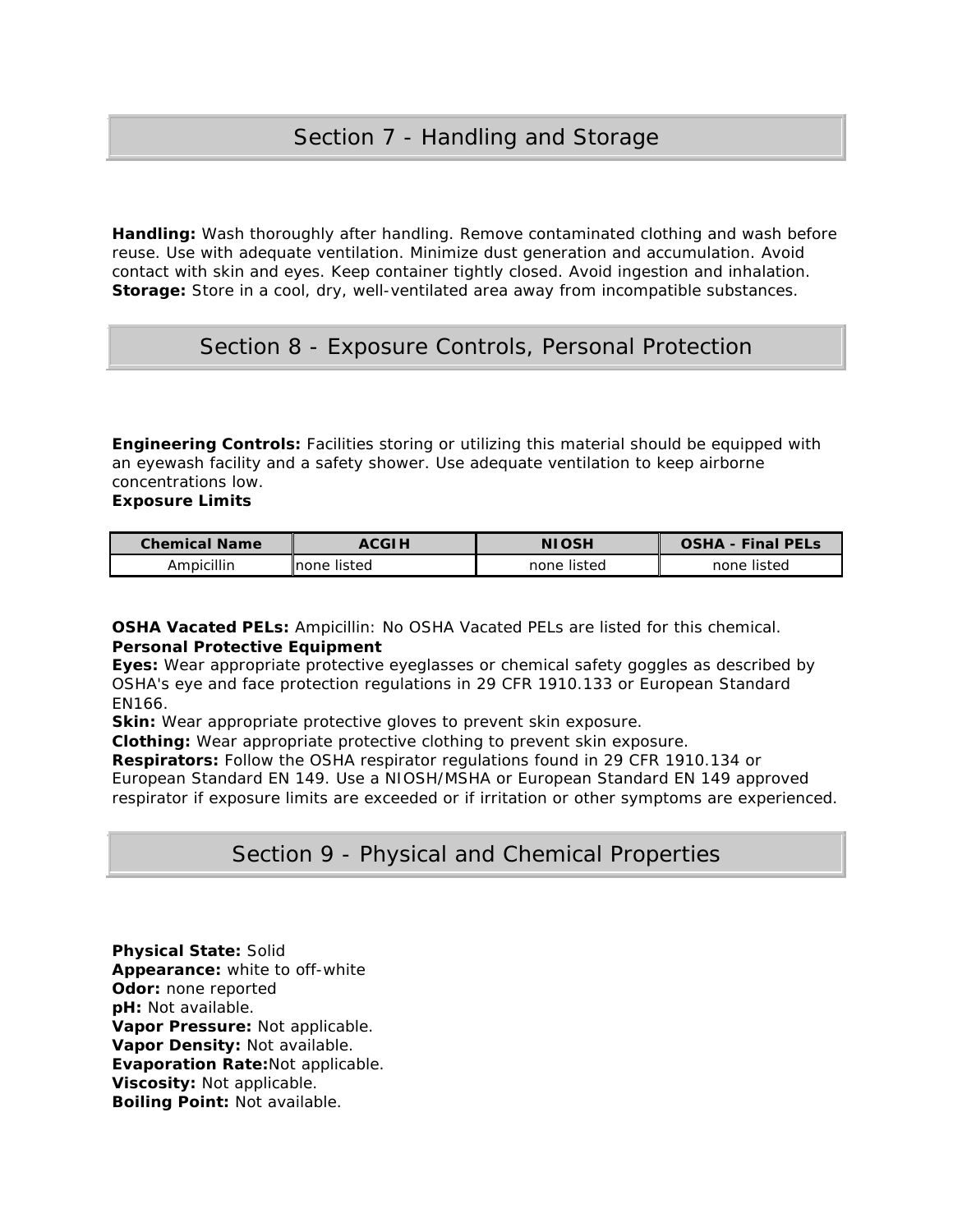**Handling:** Wash thoroughly after handling. Remove contaminated clothing and wash before reuse. Use with adequate ventilation. Minimize dust generation and accumulation. Avoid contact with skin and eyes. Keep container tightly closed. Avoid ingestion and inhalation. **Storage:** Store in a cool, dry, well-ventilated area away from incompatible substances.

# Section 8 - Exposure Controls, Personal Protection

**Engineering Controls:** Facilities storing or utilizing this material should be equipped with an eyewash facility and a safety shower. Use adequate ventilation to keep airborne concentrations low.

**Exposure Limits**

| <b>Chemical Name</b> | <b>ACGI H</b> | <b>NIOSH</b>   | <b>Final PELS</b><br>$\mathsf{LSHA}$ - |
|----------------------|---------------|----------------|----------------------------------------|
| Ampicillin           | Inone listed  | listed<br>none | listed<br>none.                        |

**OSHA Vacated PELs:** Ampicillin: No OSHA Vacated PELs are listed for this chemical. **Personal Protective Equipment**

**Eyes:** Wear appropriate protective eyeglasses or chemical safety goggles as described by OSHA's eye and face protection regulations in 29 CFR 1910.133 or European Standard EN166.

**Skin:** Wear appropriate protective gloves to prevent skin exposure.

**Clothing:** Wear appropriate protective clothing to prevent skin exposure.

**Respirators:** Follow the OSHA respirator regulations found in 29 CFR 1910.134 or

European Standard EN 149. Use a NIOSH/MSHA or European Standard EN 149 approved respirator if exposure limits are exceeded or if irritation or other symptoms are experienced.

# Section 9 - Physical and Chemical Properties

**Physical State:** Solid **Appearance:** white to off-white **Odor:** none reported **pH:** Not available. **Vapor Pressure:** Not applicable. **Vapor Density:** Not available. **Evaporation Rate:**Not applicable. **Viscosity:** Not applicable. **Boiling Point:** Not available.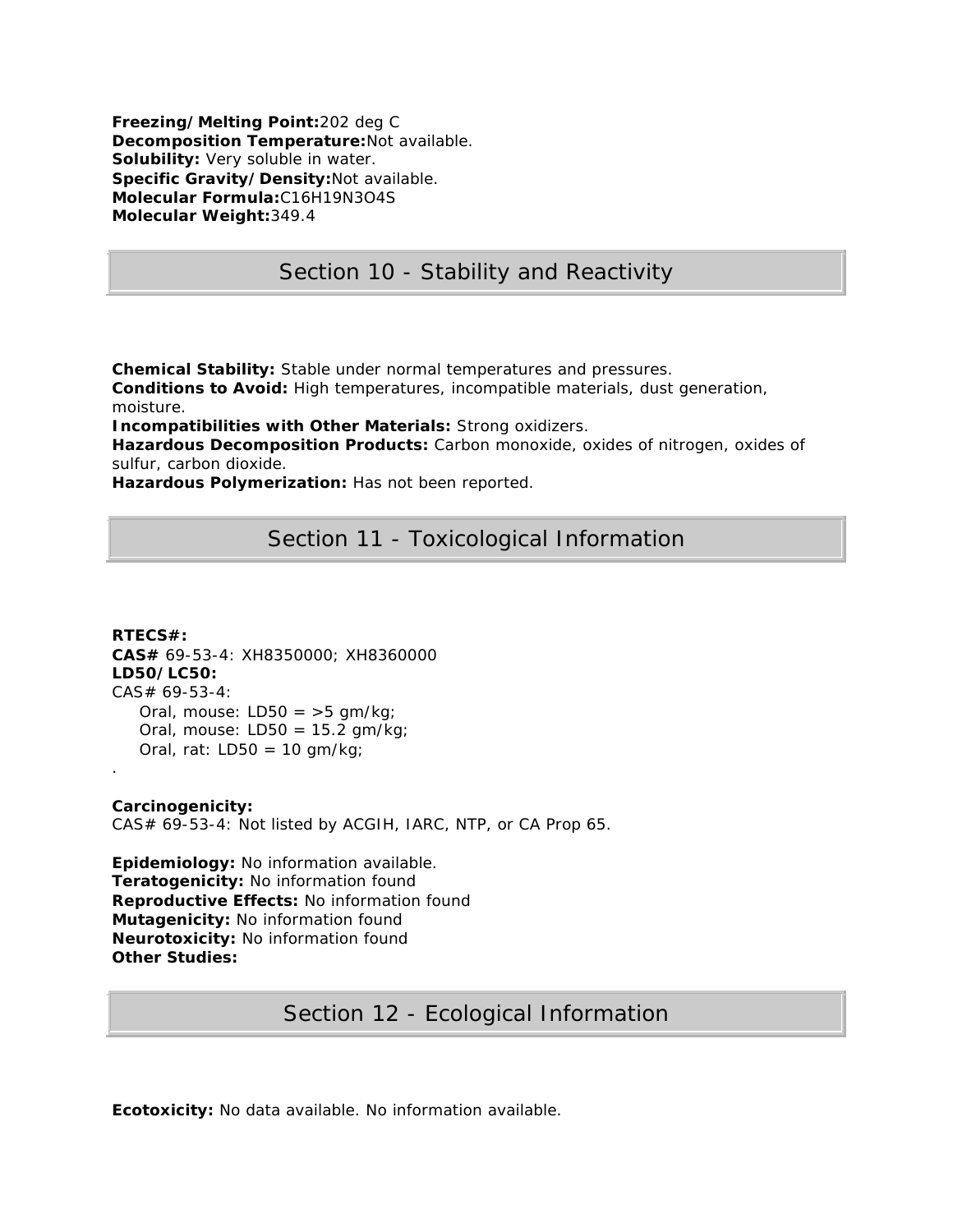**Freezing/Melting Point:**202 deg C **Decomposition Temperature:**Not available. **Solubility:** Very soluble in water. **Specific Gravity/Density:**Not available. **Molecular Formula:**C16H19N3O4S **Molecular Weight:**349.4

# Section 10 - Stability and Reactivity

**Chemical Stability:** Stable under normal temperatures and pressures.

**Conditions to Avoid:** High temperatures, incompatible materials, dust generation, moisture.

**Incompatibilities with Other Materials:** Strong oxidizers.

**Hazardous Decomposition Products:** Carbon monoxide, oxides of nitrogen, oxides of sulfur, carbon dioxide.

**Hazardous Polymerization:** Has not been reported.

# Section 11 - Toxicological Information

**RTECS#: CAS#** 69-53-4: XH8350000; XH8360000 **LD50/LC50:** CAS# 69-53-4: Oral, mouse:  $LD50 = 5$  gm/kg; Oral, mouse:  $LD50 = 15.2$  gm/kg; Oral, rat:  $LD50 = 10$  gm/kg; .

**Carcinogenicity:** CAS# 69-53-4: Not listed by ACGIH, IARC, NTP, or CA Prop 65.

**Epidemiology:** No information available. **Teratogenicity:** No information found **Reproductive Effects:** No information found **Mutagenicity:** No information found **Neurotoxicity:** No information found **Other Studies:**

# Section 12 - Ecological Information

**Ecotoxicity:** No data available. No information available.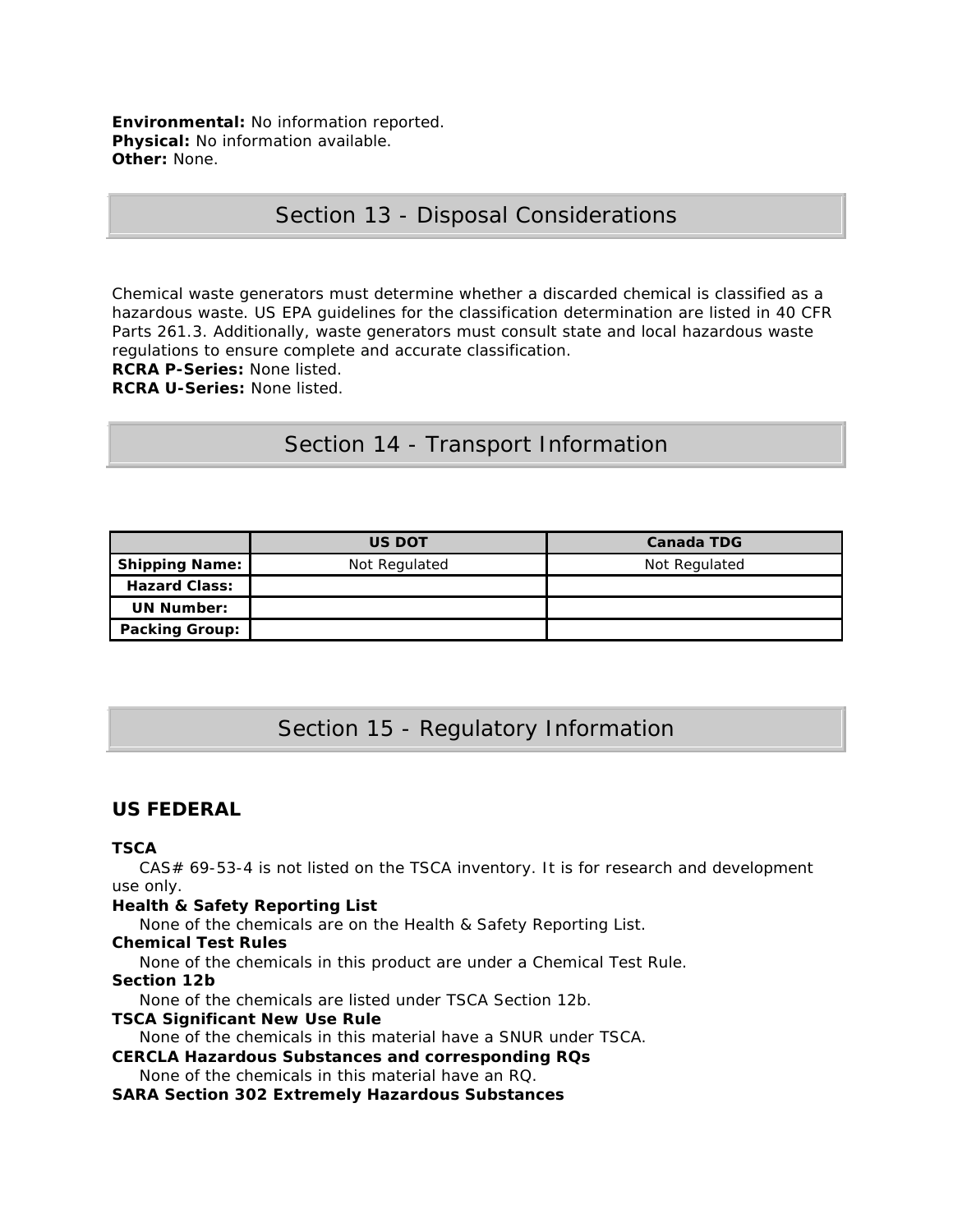**Environmental:** No information reported. **Physical:** No information available. **Other:** None.

### Section 13 - Disposal Considerations

Chemical waste generators must determine whether a discarded chemical is classified as a hazardous waste. US EPA guidelines for the classification determination are listed in 40 CFR Parts 261.3. Additionally, waste generators must consult state and local hazardous waste regulations to ensure complete and accurate classification.

**RCRA P-Series:** None listed.

**RCRA U-Series:** None listed.

### Section 14 - Transport Information

|                       | <b>US DOT</b> | <b>Canada TDG</b> |
|-----------------------|---------------|-------------------|
| <b>Shipping Name:</b> | Not Regulated | Not Regulated     |
| <b>Hazard Class:</b>  |               |                   |
| <b>UN Number:</b>     |               |                   |
| <b>Packing Group:</b> |               |                   |

# Section 15 - Regulatory Information

### **US FEDERAL**

#### **TSCA**

 CAS# 69-53-4 is not listed on the TSCA inventory. It is for research and development use only.

#### **Health & Safety Reporting List**

None of the chemicals are on the Health & Safety Reporting List.

#### **Chemical Test Rules**

None of the chemicals in this product are under a Chemical Test Rule.

#### **Section 12b**

None of the chemicals are listed under TSCA Section 12b.

#### **TSCA Significant New Use Rule**

None of the chemicals in this material have a SNUR under TSCA.

**CERCLA Hazardous Substances and corresponding RQs** None of the chemicals in this material have an RQ.

#### **SARA Section 302 Extremely Hazardous Substances**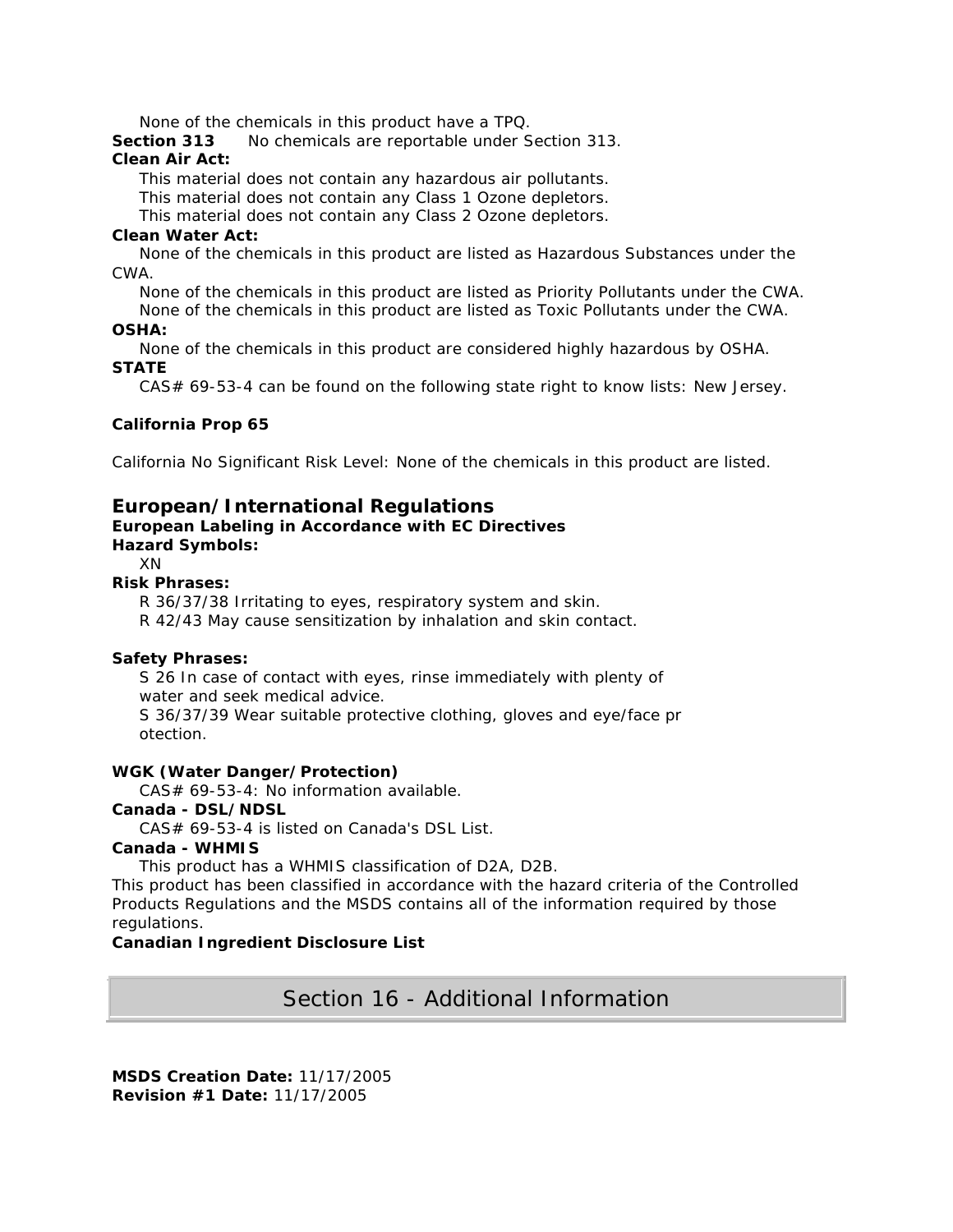None of the chemicals in this product have a TPQ.

**Section 313** No chemicals are reportable under Section 313.

### **Clean Air Act:**

This material does not contain any hazardous air pollutants.

This material does not contain any Class 1 Ozone depletors.

This material does not contain any Class 2 Ozone depletors.

#### **Clean Water Act:**

 None of the chemicals in this product are listed as Hazardous Substances under the CWA.

None of the chemicals in this product are listed as Priority Pollutants under the CWA.

 None of the chemicals in this product are listed as Toxic Pollutants under the CWA. **OSHA:**

 None of the chemicals in this product are considered highly hazardous by OSHA. **STATE**

CAS# 69-53-4 can be found on the following state right to know lists: New Jersey.

### **California Prop 65**

California No Significant Risk Level: None of the chemicals in this product are listed.

### **European/International Regulations**

#### **European Labeling in Accordance with EC Directives Hazard Symbols:**

# XN

**Risk Phrases:**

R 36/37/38 Irritating to eyes, respiratory system and skin.

R 42/43 May cause sensitization by inhalation and skin contact.

### **Safety Phrases:**

 S 26 In case of contact with eyes, rinse immediately with plenty of water and seek medical advice.

 S 36/37/39 Wear suitable protective clothing, gloves and eye/face pr otection.

#### **WGK (Water Danger/Protection)**

CAS# 69-53-4: No information available.

#### **Canada - DSL/NDSL**

CAS# 69-53-4 is listed on Canada's DSL List.

### **Canada - WHMIS**

This product has a WHMIS classification of D2A, D2B.

This product has been classified in accordance with the hazard criteria of the Controlled Products Regulations and the MSDS contains all of the information required by those regulations.

### **Canadian Ingredient Disclosure List**

Section 16 - Additional Information

**MSDS Creation Date:** 11/17/2005 **Revision #1 Date:** 11/17/2005